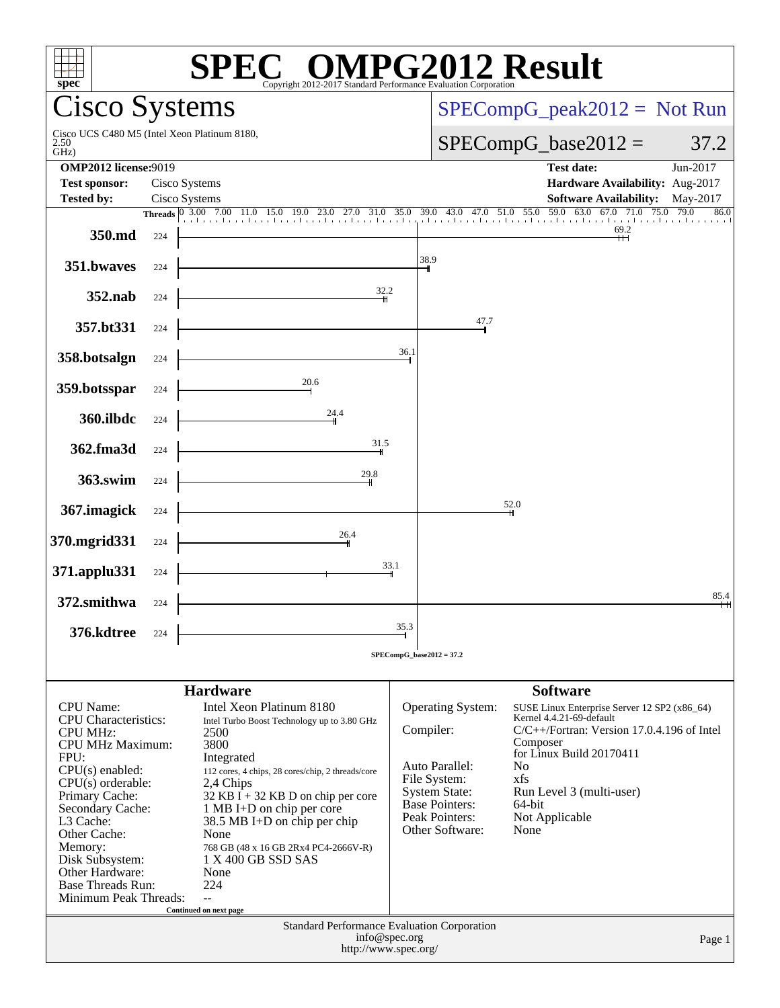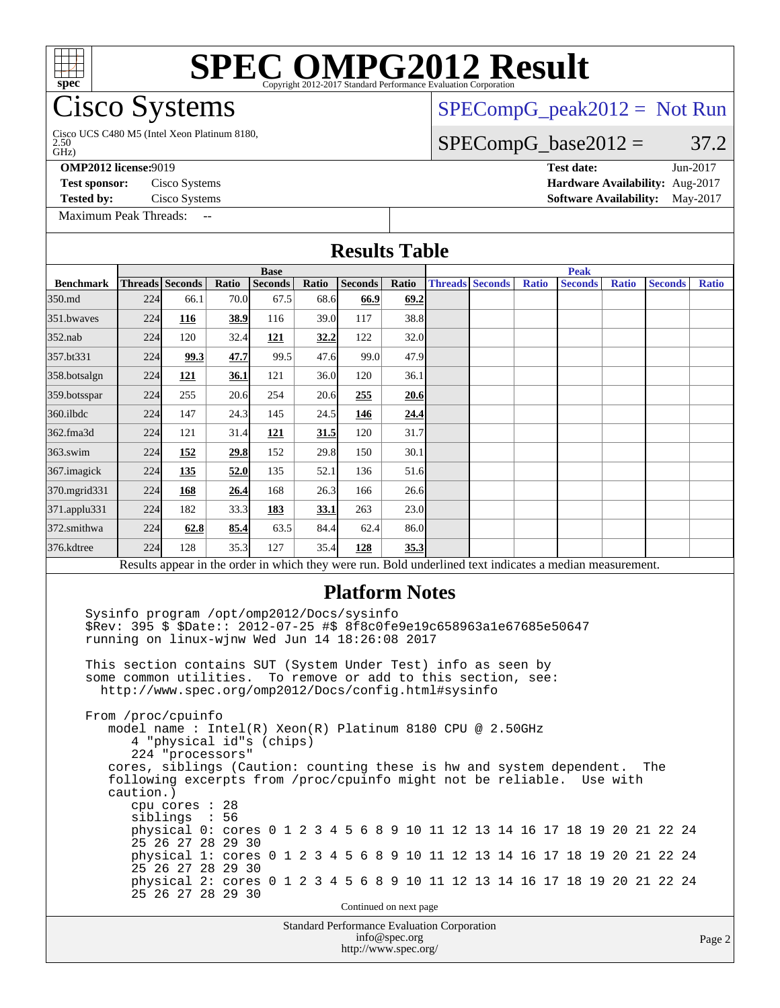# **[SPEC OMPG2012 Result](http://www.spec.org/auto/omp2012/Docs/result-fields.html#SPECOMPG2012Result)**

# **Zisco Systems**

GHz) 2.50 Cisco UCS C480 M5 (Intel Xeon Platinum 8180,

#### **[OMP2012 license:](http://www.spec.org/auto/omp2012/Docs/result-fields.html#OMP2012license)**9019 **[Test date:](http://www.spec.org/auto/omp2012/Docs/result-fields.html#Testdate)** Jun-2017

**[Tested by:](http://www.spec.org/auto/omp2012/Docs/result-fields.html#Testedby)** Cisco Systems **[Software Availability:](http://www.spec.org/auto/omp2012/Docs/result-fields.html#SoftwareAvailability)** May-2017

[Maximum Peak Threads:](http://www.spec.org/auto/omp2012/Docs/result-fields.html#MaximumPeakThreads)

 $SPECompG_peak2012 = Not Run$  $SPECompG_peak2012 = Not Run$ 

### $SPECompG_base2012 = 37.2$  $SPECompG_base2012 = 37.2$

**[Test sponsor:](http://www.spec.org/auto/omp2012/Docs/result-fields.html#Testsponsor)** Cisco Systems **[Hardware Availability:](http://www.spec.org/auto/omp2012/Docs/result-fields.html#HardwareAvailability)** Aug-2017

**[Results Table](http://www.spec.org/auto/omp2012/Docs/result-fields.html#ResultsTable) [Benchmark](http://www.spec.org/auto/omp2012/Docs/result-fields.html#Benchmark) [Threads](http://www.spec.org/auto/omp2012/Docs/result-fields.html#Threads) [Seconds](http://www.spec.org/auto/omp2012/Docs/result-fields.html#Seconds) [Ratio](http://www.spec.org/auto/omp2012/Docs/result-fields.html#Ratio) [Seconds](http://www.spec.org/auto/omp2012/Docs/result-fields.html#Seconds) [Ratio](http://www.spec.org/auto/omp2012/Docs/result-fields.html#Ratio) [Seconds](http://www.spec.org/auto/omp2012/Docs/result-fields.html#Seconds) [Ratio](http://www.spec.org/auto/omp2012/Docs/result-fields.html#Ratio) Base [Threads](http://www.spec.org/auto/omp2012/Docs/result-fields.html#Threads) [Seconds](http://www.spec.org/auto/omp2012/Docs/result-fields.html#Seconds) [Ratio](http://www.spec.org/auto/omp2012/Docs/result-fields.html#Ratio) [Seconds](http://www.spec.org/auto/omp2012/Docs/result-fields.html#Seconds) [Ratio](http://www.spec.org/auto/omp2012/Docs/result-fields.html#Ratio) [Seconds](http://www.spec.org/auto/omp2012/Docs/result-fields.html#Seconds) [Ratio](http://www.spec.org/auto/omp2012/Docs/result-fields.html#Ratio) Peak** [350.md](http://www.spec.org/auto/omp2012/Docs/350.md.html) 224 66.1 70.0 67.5 68.6 **[66.9](http://www.spec.org/auto/omp2012/Docs/result-fields.html#Median) [69.2](http://www.spec.org/auto/omp2012/Docs/result-fields.html#Median)** [351.bwaves](http://www.spec.org/auto/omp2012/Docs/351.bwaves.html) 224 **[116](http://www.spec.org/auto/omp2012/Docs/result-fields.html#Median) [38.9](http://www.spec.org/auto/omp2012/Docs/result-fields.html#Median)** 116 39.0 117 38.8 [352.nab](http://www.spec.org/auto/omp2012/Docs/352.nab.html) 224 120 32.4 **[121](http://www.spec.org/auto/omp2012/Docs/result-fields.html#Median) [32.2](http://www.spec.org/auto/omp2012/Docs/result-fields.html#Median)** 122 32.0 [357.bt331](http://www.spec.org/auto/omp2012/Docs/357.bt331.html) 224 **[99.3](http://www.spec.org/auto/omp2012/Docs/result-fields.html#Median) [47.7](http://www.spec.org/auto/omp2012/Docs/result-fields.html#Median)** 99.5 47.6 99.0 47.9 [358.botsalgn](http://www.spec.org/auto/omp2012/Docs/358.botsalgn.html) 224 **[121](http://www.spec.org/auto/omp2012/Docs/result-fields.html#Median) [36.1](http://www.spec.org/auto/omp2012/Docs/result-fields.html#Median)** 121 36.0 120 36.1 [359.botsspar](http://www.spec.org/auto/omp2012/Docs/359.botsspar.html) 224 255 20.6 254 20.6 **[255](http://www.spec.org/auto/omp2012/Docs/result-fields.html#Median) [20.6](http://www.spec.org/auto/omp2012/Docs/result-fields.html#Median)** [360.ilbdc](http://www.spec.org/auto/omp2012/Docs/360.ilbdc.html) 224 147 24.3 145 24.5 **[146](http://www.spec.org/auto/omp2012/Docs/result-fields.html#Median) [24.4](http://www.spec.org/auto/omp2012/Docs/result-fields.html#Median)** [362.fma3d](http://www.spec.org/auto/omp2012/Docs/362.fma3d.html) 224 121 31.4 **[121](http://www.spec.org/auto/omp2012/Docs/result-fields.html#Median) [31.5](http://www.spec.org/auto/omp2012/Docs/result-fields.html#Median)** 120 31.7 [363.swim](http://www.spec.org/auto/omp2012/Docs/363.swim.html) 224 **[152](http://www.spec.org/auto/omp2012/Docs/result-fields.html#Median) [29.8](http://www.spec.org/auto/omp2012/Docs/result-fields.html#Median)** 152 29.8 150 30.1 [367.imagick](http://www.spec.org/auto/omp2012/Docs/367.imagick.html) 224 **[135](http://www.spec.org/auto/omp2012/Docs/result-fields.html#Median) [52.0](http://www.spec.org/auto/omp2012/Docs/result-fields.html#Median)** 135 52.1 136 51.6 [370.mgrid331](http://www.spec.org/auto/omp2012/Docs/370.mgrid331.html) 224 **[168](http://www.spec.org/auto/omp2012/Docs/result-fields.html#Median) [26.4](http://www.spec.org/auto/omp2012/Docs/result-fields.html#Median)** 168 26.3 166 26.6 [371.applu331](http://www.spec.org/auto/omp2012/Docs/371.applu331.html) 224 182 33.3 **[183](http://www.spec.org/auto/omp2012/Docs/result-fields.html#Median) [33.1](http://www.spec.org/auto/omp2012/Docs/result-fields.html#Median)** 263 23.0 [372.smithwa](http://www.spec.org/auto/omp2012/Docs/372.smithwa.html) 224 **[62.8](http://www.spec.org/auto/omp2012/Docs/result-fields.html#Median) [85.4](http://www.spec.org/auto/omp2012/Docs/result-fields.html#Median)** 63.5 84.4 62.4 86.0 [376.kdtree](http://www.spec.org/auto/omp2012/Docs/376.kdtree.html) 224 128 35.3 127 35.4 **[128](http://www.spec.org/auto/omp2012/Docs/result-fields.html#Median) [35.3](http://www.spec.org/auto/omp2012/Docs/result-fields.html#Median)** Results appear in the [order in which they were run.](http://www.spec.org/auto/omp2012/Docs/result-fields.html#RunOrder) Bold underlined text [indicates a median measurement.](http://www.spec.org/auto/omp2012/Docs/result-fields.html#Median) **[Platform Notes](http://www.spec.org/auto/omp2012/Docs/result-fields.html#PlatformNotes)** Sysinfo program /opt/omp2012/Docs/sysinfo \$Rev: 395 \$ \$Date:: 2012-07-25 #\$ 8f8c0fe9e19c658963a1e67685e50647 running on linux-wjnw Wed Jun 14 18:26:08 2017 This section contains SUT (System Under Test) info as seen by some common utilities. To remove or add to this section, see: <http://www.spec.org/omp2012/Docs/config.html#sysinfo> From /proc/cpuinfo model name : Intel(R) Xeon(R) Platinum 8180 CPU @ 2.50GHz 4 "physical id"s (chips) 224 "processors" cores, siblings (Caution: counting these is hw and system dependent. The following excerpts from /proc/cpuinfo might not be reliable. Use with caution.) cpu cores : 28 siblings : 56 physical 0: cores 0 1 2 3 4 5 6 8 9 10 11 12 13 14 16 17 18 19 20 21 22 24 25 26 27 28 29 30 physical 1: cores 0 1 2 3 4 5 6 8 9 10 11 12 13 14 16 17 18 19 20 21 22 24 25 26 27 28 29 30

 physical 2: cores 0 1 2 3 4 5 6 8 9 10 11 12 13 14 16 17 18 19 20 21 22 24 25 26 27 28 29 30

Continued on next page

Standard Performance Evaluation Corporation [info@spec.org](mailto:info@spec.org) <http://www.spec.org/>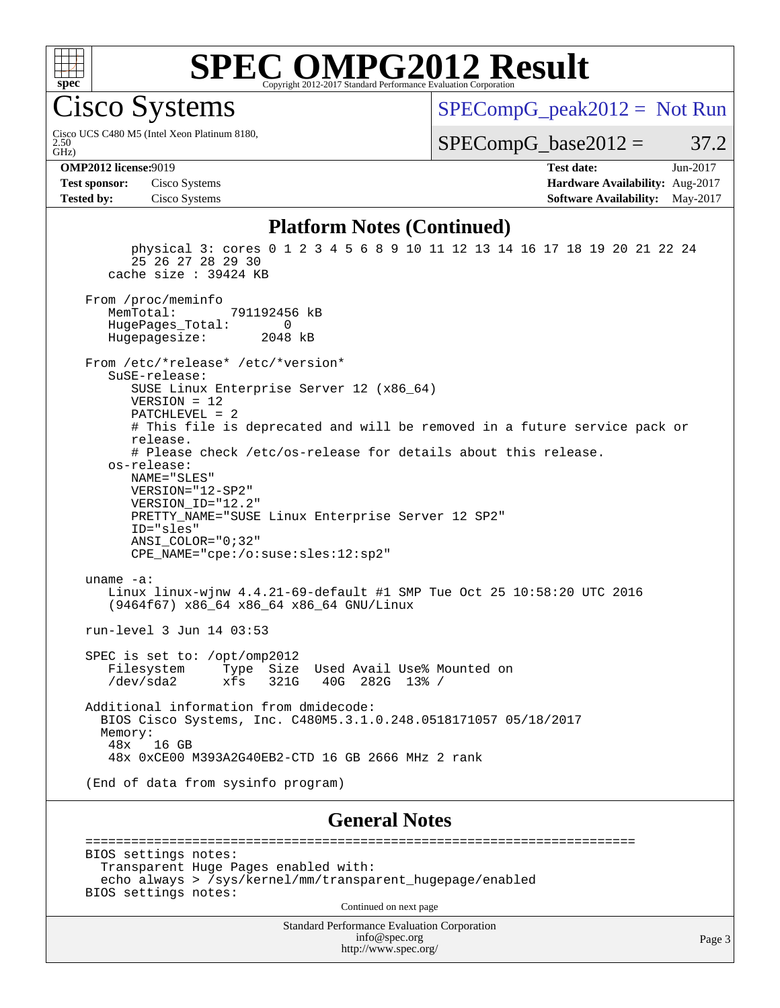

# **[SPEC OMPG2012 Result](http://www.spec.org/auto/omp2012/Docs/result-fields.html#SPECOMPG2012Result)**

Cisco Systems

GHz) 2.50 Cisco UCS C480 M5 (Intel Xeon Platinum 8180,  $SPECompG_peak2012 = Not Run$  $SPECompG_peak2012 = Not Run$ 

 $SPECompG_base2012 = 37.2$  $SPECompG_base2012 = 37.2$ 

**[Test sponsor:](http://www.spec.org/auto/omp2012/Docs/result-fields.html#Testsponsor)** Cisco Systems **[Hardware Availability:](http://www.spec.org/auto/omp2012/Docs/result-fields.html#HardwareAvailability)** Aug-2017 **[Tested by:](http://www.spec.org/auto/omp2012/Docs/result-fields.html#Testedby)** Cisco Systems **[Software Availability:](http://www.spec.org/auto/omp2012/Docs/result-fields.html#SoftwareAvailability)** May-2017

**[OMP2012 license:](http://www.spec.org/auto/omp2012/Docs/result-fields.html#OMP2012license)**9019 **[Test date:](http://www.spec.org/auto/omp2012/Docs/result-fields.html#Testdate)** Jun-2017

#### **[Platform Notes \(Continued\)](http://www.spec.org/auto/omp2012/Docs/result-fields.html#PlatformNotes)**

 physical 3: cores 0 1 2 3 4 5 6 8 9 10 11 12 13 14 16 17 18 19 20 21 22 24 25 26 27 28 29 30 cache size : 39424 KB From /proc/meminfo<br>MemTotal: 791192456 kB HugePages\_Total: 0<br>Hugepagesize: 2048 kB Hugepagesize: From /etc/\*release\* /etc/\*version\* SuSE-release: SUSE Linux Enterprise Server 12 (x86\_64) VERSION = 12 PATCHLEVEL = 2 # This file is deprecated and will be removed in a future service pack or release. # Please check /etc/os-release for details about this release. os-release: NAME="SLES" VERSION="12-SP2" VERSION\_ID="12.2" PRETTY\_NAME="SUSE Linux Enterprise Server 12 SP2" ID="sles" ANSI\_COLOR="0;32" CPE\_NAME="cpe:/o:suse:sles:12:sp2" uname -a: Linux linux-wjnw 4.4.21-69-default #1 SMP Tue Oct 25 10:58:20 UTC 2016 (9464f67) x86\_64 x86\_64 x86\_64 GNU/Linux run-level 3 Jun 14 03:53 SPEC is set to: /opt/omp2012 Filesystem Type Size Used Avail Use% Mounted on /dev/sda2 xfs 321G 40G 282G 13% / Additional information from dmidecode: BIOS Cisco Systems, Inc. C480M5.3.1.0.248.0518171057 05/18/2017 Memory: 48x 16 GB 48x 0xCE00 M393A2G40EB2-CTD 16 GB 2666 MHz 2 rank (End of data from sysinfo program)

#### **[General Notes](http://www.spec.org/auto/omp2012/Docs/result-fields.html#GeneralNotes)**

 ======================================================================== BIOS settings notes: Transparent Huge Pages enabled with: echo always > /sys/kernel/mm/transparent\_hugepage/enabled BIOS settings notes:

Continued on next page

Standard Performance Evaluation Corporation [info@spec.org](mailto:info@spec.org) <http://www.spec.org/>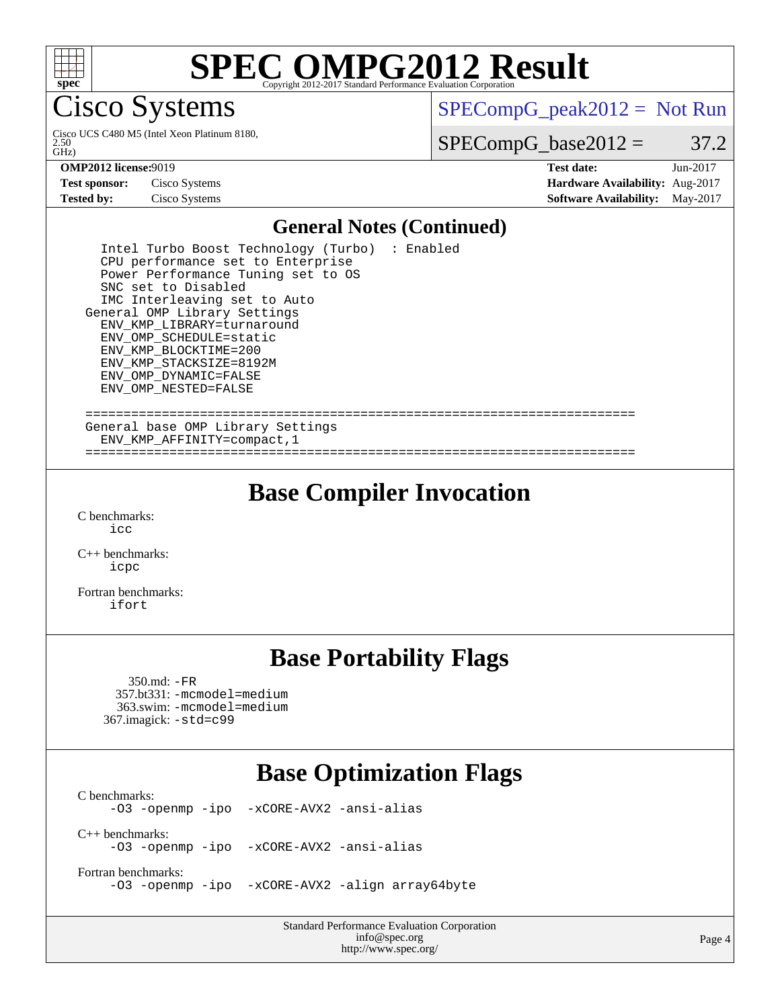

# **[SPEC OMPG2012 Result](http://www.spec.org/auto/omp2012/Docs/result-fields.html#SPECOMPG2012Result)**

Cisco Systems

 $\tilde{GHZ}$ 2.50 Cisco UCS C480 M5 (Intel Xeon Platinum 8180,  $SPECompG_peak2012 = Not Run$  $SPECompG_peak2012 = Not Run$ 

 $SPECompG_base2012 = 37.2$  $SPECompG_base2012 = 37.2$ 

**[OMP2012 license:](http://www.spec.org/auto/omp2012/Docs/result-fields.html#OMP2012license)**9019 **[Test date:](http://www.spec.org/auto/omp2012/Docs/result-fields.html#Testdate)** Jun-2017 **[Test sponsor:](http://www.spec.org/auto/omp2012/Docs/result-fields.html#Testsponsor)** Cisco Systems **[Hardware Availability:](http://www.spec.org/auto/omp2012/Docs/result-fields.html#HardwareAvailability)** Aug-2017 **[Tested by:](http://www.spec.org/auto/omp2012/Docs/result-fields.html#Testedby)** Cisco Systems **[Software Availability:](http://www.spec.org/auto/omp2012/Docs/result-fields.html#SoftwareAvailability)** May-2017

### **[General Notes \(Continued\)](http://www.spec.org/auto/omp2012/Docs/result-fields.html#GeneralNotes)**

 Intel Turbo Boost Technology (Turbo) : Enabled CPU performance set to Enterprise Power Performance Tuning set to OS SNC set to Disabled IMC Interleaving set to Auto General OMP Library Settings ENV\_KMP\_LIBRARY=turnaround ENV\_OMP\_SCHEDULE=static ENV\_KMP\_BLOCKTIME=200 ENV\_KMP\_STACKSIZE=8192M ENV\_OMP\_DYNAMIC=FALSE ENV\_OMP\_NESTED=FALSE ======================================================================== General base OMP Library Settings ENV\_KMP\_AFFINITY=compact,1 ========================================================================

## **[Base Compiler Invocation](http://www.spec.org/auto/omp2012/Docs/result-fields.html#BaseCompilerInvocation)**

[C benchmarks](http://www.spec.org/auto/omp2012/Docs/result-fields.html#Cbenchmarks):  $i$ 

[C++ benchmarks:](http://www.spec.org/auto/omp2012/Docs/result-fields.html#CXXbenchmarks) [icpc](http://www.spec.org/omp2012/results/res2017q3/omp2012-20170621-00101.flags.html#user_CXXbase_intel_icpc_2d899f8d163502b12eb4a60069f80c1c)

[Fortran benchmarks](http://www.spec.org/auto/omp2012/Docs/result-fields.html#Fortranbenchmarks): [ifort](http://www.spec.org/omp2012/results/res2017q3/omp2012-20170621-00101.flags.html#user_FCbase_intel_ifort_8a5e5e06b19a251bdeaf8fdab5d62f20)

## **[Base Portability Flags](http://www.spec.org/auto/omp2012/Docs/result-fields.html#BasePortabilityFlags)**

 $350$ .md:  $-FR$  357.bt331: [-mcmodel=medium](http://www.spec.org/omp2012/results/res2017q3/omp2012-20170621-00101.flags.html#user_basePORTABILITY357_bt331_f-mcmodel_3a41622424bdd074c4f0f2d2f224c7e5) 363.swim: [-mcmodel=medium](http://www.spec.org/omp2012/results/res2017q3/omp2012-20170621-00101.flags.html#user_basePORTABILITY363_swim_f-mcmodel_3a41622424bdd074c4f0f2d2f224c7e5) 367.imagick: [-std=c99](http://www.spec.org/omp2012/results/res2017q3/omp2012-20170621-00101.flags.html#user_baseCPORTABILITY367_imagick_f-std_2ec6533b6e06f1c4a6c9b78d9e9cde24)

## **[Base Optimization Flags](http://www.spec.org/auto/omp2012/Docs/result-fields.html#BaseOptimizationFlags)**

[C benchmarks](http://www.spec.org/auto/omp2012/Docs/result-fields.html#Cbenchmarks): [-O3](http://www.spec.org/omp2012/results/res2017q3/omp2012-20170621-00101.flags.html#user_CCbase_f-O3) [-openmp](http://www.spec.org/omp2012/results/res2017q3/omp2012-20170621-00101.flags.html#user_CCbase_f-openmp) [-ipo](http://www.spec.org/omp2012/results/res2017q3/omp2012-20170621-00101.flags.html#user_CCbase_f-ipo_84062ab53814f613187d02344b8f49a7) [-xCORE-AVX2](http://www.spec.org/omp2012/results/res2017q3/omp2012-20170621-00101.flags.html#user_CCbase_f-xCORE-AVX2) [-ansi-alias](http://www.spec.org/omp2012/results/res2017q3/omp2012-20170621-00101.flags.html#user_CCbase_f-ansi-alias)

[C++ benchmarks:](http://www.spec.org/auto/omp2012/Docs/result-fields.html#CXXbenchmarks)

[-O3](http://www.spec.org/omp2012/results/res2017q3/omp2012-20170621-00101.flags.html#user_CXXbase_f-O3) [-openmp](http://www.spec.org/omp2012/results/res2017q3/omp2012-20170621-00101.flags.html#user_CXXbase_f-openmp) [-ipo](http://www.spec.org/omp2012/results/res2017q3/omp2012-20170621-00101.flags.html#user_CXXbase_f-ipo_84062ab53814f613187d02344b8f49a7) [-xCORE-AVX2](http://www.spec.org/omp2012/results/res2017q3/omp2012-20170621-00101.flags.html#user_CXXbase_f-xCORE-AVX2) [-ansi-alias](http://www.spec.org/omp2012/results/res2017q3/omp2012-20170621-00101.flags.html#user_CXXbase_f-ansi-alias)

[Fortran benchmarks](http://www.spec.org/auto/omp2012/Docs/result-fields.html#Fortranbenchmarks):

[-O3](http://www.spec.org/omp2012/results/res2017q3/omp2012-20170621-00101.flags.html#user_FCbase_f-O3) [-openmp](http://www.spec.org/omp2012/results/res2017q3/omp2012-20170621-00101.flags.html#user_FCbase_f-openmp) [-ipo](http://www.spec.org/omp2012/results/res2017q3/omp2012-20170621-00101.flags.html#user_FCbase_f-ipo_84062ab53814f613187d02344b8f49a7) [-xCORE-AVX2](http://www.spec.org/omp2012/results/res2017q3/omp2012-20170621-00101.flags.html#user_FCbase_f-xCORE-AVX2) [-align array64byte](http://www.spec.org/omp2012/results/res2017q3/omp2012-20170621-00101.flags.html#user_FCbase_f-align_c9377f996e966d652baaf753401d4725)

Standard Performance Evaluation Corporation [info@spec.org](mailto:info@spec.org) <http://www.spec.org/>